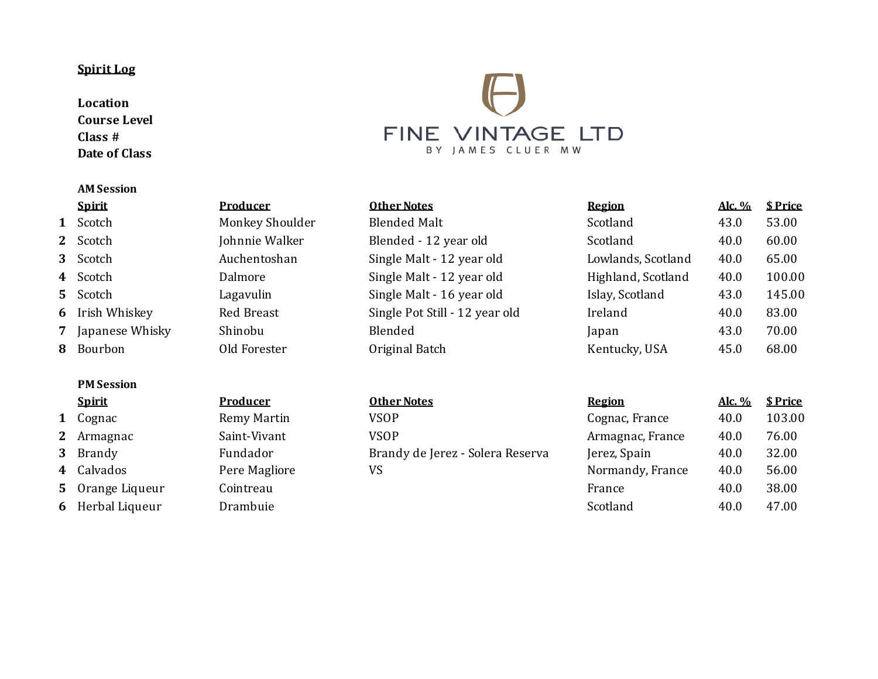## **Spirit Log**

**Location Course Level Class # Date of Class**

### **AM Session**

- Irish Whiskey Re
- Japanese Whisky Sh
- 

## **PM Session**

- 
- Armagnac Saint-Vivant
- 
- Calvados **Pere Magliore**
- Orange Liqueur **Cointreau**
- Herbal Liqueur Drambuie



| Spirit            | <b>Producer</b> | <b>Other Notes</b>             | Region             | Alc. % | \$ Price |
|-------------------|-----------------|--------------------------------|--------------------|--------|----------|
| 1 Scotch          | Monkey Shoulder | <b>Blended Malt</b>            | Scotland           | 43.0   | 53.00    |
| 2 Scotch          | Johnnie Walker  | Blended - 12 year old          | Scotland           | 40.0   | 60.00    |
| 3 Scotch          | Auchentoshan    | Single Malt - 12 year old      | Lowlands, Scotland | 40.0   | 65.00    |
| 4 Scotch          | Dalmore         | Single Malt - 12 year old      | Highland, Scotland | 40.0   | 100.00   |
| 5 Scotch          | Lagavulin       | Single Malt - 16 year old      | Islay, Scotland    | 43.0   | 145.00   |
| 6 Irish Whiskey   | Red Breast      | Single Pot Still - 12 year old | Ireland            | 40.0   | 83.00    |
| 7 Japanese Whisky | Shinobu         | Blended                        | Japan              | 43.0   | 70.00    |
| 8 Bourbon         | Old Forester    | Original Batch                 | Kentucky, USA      | 45.0   | 68.00    |
|                   |                 |                                |                    |        |          |
|                   |                 |                                |                    |        |          |

| Other Notes                      |  |
|----------------------------------|--|
| VSOP                             |  |
| <b>VSOP</b>                      |  |
| Brandy de Jerez - Solera Reserva |  |
| VS.                              |  |

| <b>Spirit</b>    | <b>Producer</b> | <b>Other Notes</b>               | <b>Region</b>    | Alc. % | \$ Price |
|------------------|-----------------|----------------------------------|------------------|--------|----------|
| 1 Cognac         | Remy Martin     | <b>VSOP</b>                      | Cognac, France   | 40.0   | 103.00   |
| 2 Armagnac       | Saint-Vivant    | <b>VSOP</b>                      | Armagnac, France | 40.0   | 76.00    |
| 3 Brandy         | Fundador        | Brandy de Jerez - Solera Reserva | Jerez, Spain     | 40.0   | 32.00    |
| 4 Calvados       | Pere Magliore   | VS                               | Normandy, France | 40.0   | 56.00    |
| 5 Orange Liqueur | Cointreau       |                                  | France           | 40.0   | 38.00    |
| 6 Herbal Liqueur | Drambuie        |                                  | Scotland         | 40.0   | 47.00    |